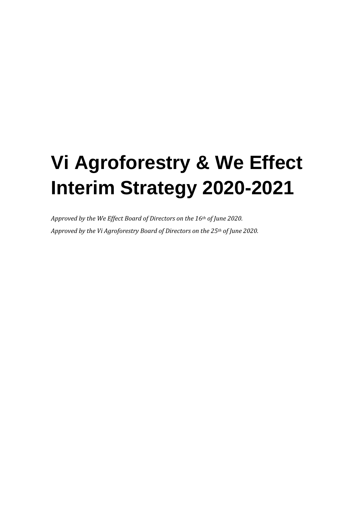# **Vi Agroforestry & We Effect Interim Strategy 2020-2021**

*Approved by the We Effect Board of Directors on the 16th of June 2020. Approved by the Vi Agroforestry Board of Directors on the 25th of June 2020.*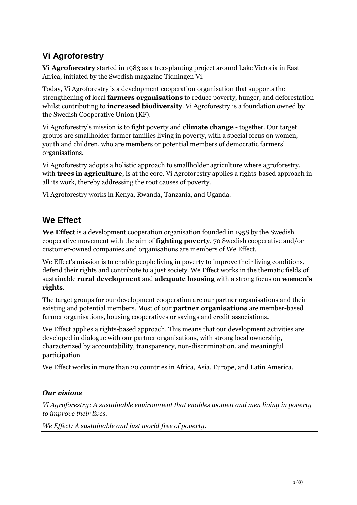# **Vi Agroforestry**

**Vi Agroforestry** started in 1983 as a tree-planting project around Lake Victoria in East Africa, initiated by the Swedish magazine Tidningen Vi.

Today, Vi Agroforestry is a development cooperation organisation that supports the strengthening of local **farmers organisations** to reduce poverty, hunger, and deforestation whilst contributing to **increased biodiversity**. Vi Agroforestry is a foundation owned by the Swedish Cooperative Union (KF).

Vi Agroforestry's mission is to fight poverty and **climate change** - together. Our target groups are smallholder farmer families living in poverty, with a special focus on women, youth and children, who are members or potential members of democratic farmers' organisations.

Vi Agroforestry adopts a holistic approach to smallholder agriculture where agroforestry, with **trees in agriculture**, is at the core. Vi Agroforestry applies a rights-based approach in all its work, thereby addressing the root causes of poverty.

Vi Agroforestry works in Kenya, Rwanda, Tanzania, and Uganda.

## **We Effect**

**We Effect** is a development cooperation organisation founded in 1958 by the Swedish cooperative movement with the aim of **fighting poverty**. 70 Swedish cooperative and/or customer-owned companies and organisations are members of We Effect.

We Effect's mission is to enable people living in poverty to improve their living conditions, defend their rights and contribute to a just society. We Effect works in the thematic fields of sustainable **rural development** and **adequate housing** with a strong focus on **women's rights**.

The target groups for our development cooperation are our partner organisations and their existing and potential members. Most of our **partner organisations** are member-based farmer organisations, housing cooperatives or savings and credit associations.

We Effect applies a rights-based approach. This means that our development activities are developed in dialogue with our partner organisations, with strong local ownership, characterized by accountability, transparency, non-discrimination, and meaningful participation.

We Effect works in more than 20 countries in Africa, Asia, Europe, and Latin America.

#### *Our visions*

*Vi Agroforestry: A sustainable environment that enables women and men living in poverty to improve their lives.*

*We Effect: A sustainable and just world free of poverty.*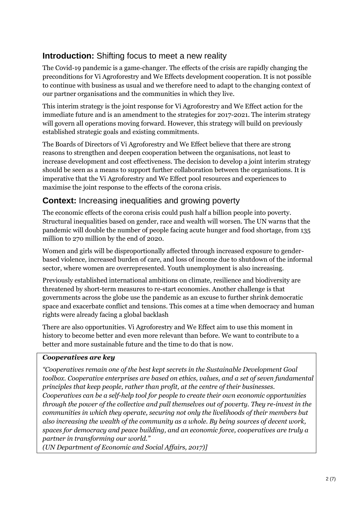## **Introduction:** Shifting focus to meet a new reality

The Covid-19 pandemic is a game-changer. The effects of the crisis are rapidly changing the preconditions for Vi Agroforestry and We Effects development cooperation. It is not possible to continue with business as usual and we therefore need to adapt to the changing context of our partner organisations and the communities in which they live.

This interim strategy is the joint response for Vi Agroforestry and We Effect action for the immediate future and is an amendment to the strategies for 2017-2021. The interim strategy will govern all operations moving forward. However, this strategy will build on previously established strategic goals and existing commitments.

The Boards of Directors of Vi Agroforestry and We Effect believe that there are strong reasons to strengthen and deepen cooperation between the organisations, not least to increase development and cost effectiveness. The decision to develop a joint interim strategy should be seen as a means to support further collaboration between the organisations. It is imperative that the Vi Agroforestry and We Effect pool resources and experiences to maximise the joint response to the effects of the corona crisis.

## **Context:** Increasing inequalities and growing poverty

The economic effects of the corona crisis could push half a billion people into poverty. Structural inequalities based on gender, race and wealth will worsen. The UN warns that the pandemic will double the number of people facing acute hunger and food shortage, from 135 million to 270 million by the end of 2020.

Women and girls will be disproportionally affected through increased exposure to genderbased violence, increased burden of care, and loss of income due to shutdown of the informal sector, where women are overrepresented. Youth unemployment is also increasing.

Previously established international ambitions on climate, resilience and biodiversity are threatened by short-term measures to re-start economies. Another challenge is that governments across the globe use the pandemic as an excuse to further shrink democratic space and exacerbate conflict and tensions. This comes at a time when democracy and human rights were already facing a global backlash

There are also opportunities. Vi Agroforestry and We Effect aim to use this moment in history to become better and even more relevant than before. We want to contribute to a better and more sustainable future and the time to do that is now.

#### *Cooperatives are key*

*"Cooperatives remain one of the best kept secrets in the Sustainable Development Goal toolbox. Cooperative enterprises are based on ethics, values, and a set of seven fundamental principles that keep people, rather than profit, at the centre of their businesses. Cooperatives can be a self-help tool for people to create their own economic opportunities through the power of the collective and pull themselves out of poverty. They re-invest in the communities in which they operate, securing not only the livelihoods of their members but also increasing the wealth of the community as a whole. By being sources of decent work, spaces for democracy and peace building, and an economic force, cooperatives are truly a partner in transforming our world."*

*(UN Department of Economic and Social Affairs, 2017)]*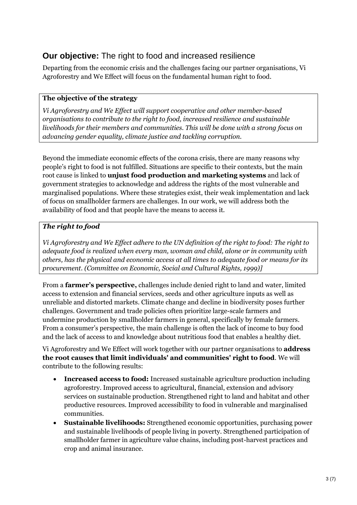## **Our objective:** The right to food and increased resilience

Departing from the economic crisis and the challenges facing our partner organisations, Vi Agroforestry and We Effect will focus on the fundamental human right to food.

#### **The objective of the strategy**

*Vi Agroforestry and We Effect will support cooperative and other member-based organisations to contribute to the right to food, increased resilience and sustainable livelihoods for their members and communities. This will be done with a strong focus on advancing gender equality, climate justice and tackling corruption.*

Beyond the immediate economic effects of the corona crisis, there are many reasons why people's right to food is not fulfilled. Situations are specific to their contexts, but the main root cause is linked to **unjust food production and marketing systems** and lack of government strategies to acknowledge and address the rights of the most vulnerable and marginalised populations. Where these strategies exist, their weak implementation and lack of focus on smallholder farmers are challenges. In our work, we will address both the availability of food and that people have the means to access it.

#### *The right to food*

*Vi Agroforestry and We Effect adhere to the UN definition of the right to food: The right to adequate food is realized when every man, woman and child, alone or in community with others, has the physical and economic access at all times to adequate food or means for its procurement. (Committee on Economic, Social and Cultural Rights, 1999)]*

From a **farmer's perspective,** challenges include denied right to land and water, limited access to extension and financial services, seeds and other agriculture inputs as well as unreliable and distorted markets. Climate change and decline in biodiversity poses further challenges. Government and trade policies often prioritize large-scale farmers and undermine production by smallholder farmers in general, specifically by female farmers. From a consumer's perspective, the main challenge is often the lack of income to buy food and the lack of access to and knowledge about nutritious food that enables a healthy diet.

Vi Agroforestry and We Effect will work together with our partner organisations to **address the root causes that limit individuals' and communities' right to food**. We will contribute to the following results:

- **Increased access to food:** Increased sustainable agriculture production including agroforestry. Improved access to agricultural, financial, extension and advisory services on sustainable production. Strengthened right to land and habitat and other productive resources. Improved accessibility to food in vulnerable and marginalised communities.
- **Sustainable livelihoods:** Strengthened economic opportunities, purchasing power and sustainable livelihoods of people living in poverty. Strengthened participation of smallholder farmer in agriculture value chains, including post-harvest practices and crop and animal insurance.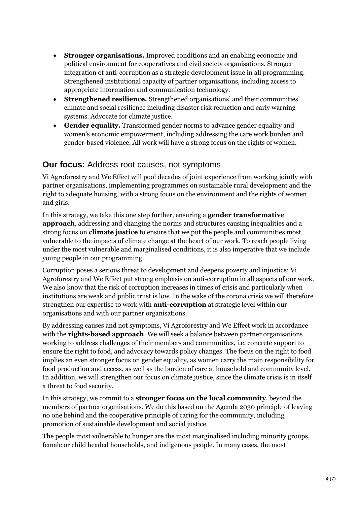- **Stronger organisations.** Improved conditions and an enabling economic and political environment for cooperatives and civil society organisations. Stronger integration of anti-corruption as a strategic development issue in all programming. Strengthened institutional capacity of partner organisations, including access to appropriate information and communication technology.
- **Strengthened resilience.** Strengthened organisations' and their communities' climate and social resilience including disaster risk reduction and early warning systems. Advocate for climate justice.
- **Gender equality.** Transformed gender norms to advance gender equality and women's economic empowerment, including addressing the care work burden and gender-based violence. All work will have a strong focus on the rights of women.

### **Our focus:** Address root causes, not symptoms

Vi Agroforestry and We Effect will pool decades of joint experience from working jointly with partner organisations, implementing programmes on sustainable rural development and the right to adequate housing, with a strong focus on the environment and the rights of women and girls.

In this strategy, we take this one step further, ensuring a **gender transformative approach**, addressing and changing the norms and structures causing inequalities and a strong focus on **climate justice** to ensure that we put the people and communities most vulnerable to the impacts of climate change at the heart of our work. To reach people living under the most vulnerable and marginalised conditions, it is also imperative that we include young people in our programming.

Corruption poses a serious threat to development and deepens poverty and injustice; Vi Agroforestry and We Effect put strong emphasis on anti-corruption in all aspects of our work. We also know that the risk of corruption increases in times of crisis and particularly when institutions are weak and public trust is low. In the wake of the corona crisis we will therefore strengthen our expertise to work with **anti-corruption** at strategic level within our organisations and with our partner organisations.

By addressing causes and not symptoms, Vi Agroforestry and We Effect work in accordance with the **rights-based approach**. We will seek a balance between partner organisations working to address challenges of their members and communities, i.e. concrete support to ensure the right to food, and advocacy towards policy changes. The focus on the right to food implies an even stronger focus on gender equality, as women carry the main responsibility for food production and access, as well as the burden of care at household and community level. In addition, we will strengthen our focus on climate justice, since the climate crisis is in itself a threat to food security.

In this strategy, we commit to a **stronger focus on the local community**, beyond the members of partner organisations. We do this based on the Agenda 2030 principle of leaving no one behind and the cooperative principle of caring for the community, including promotion of sustainable development and social justice.

The people most vulnerable to hunger are the most marginalised including minority groups, female or child headed households, and indigenous people. In many cases, the most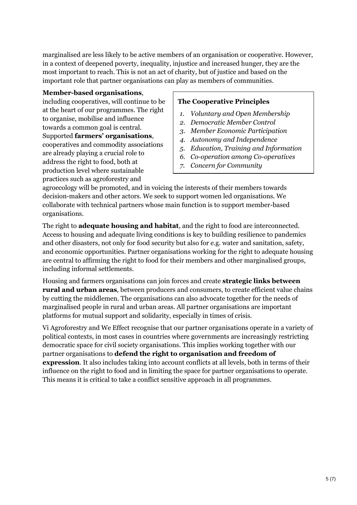marginalised are less likely to be active members of an organisation or cooperative. However, in a context of deepened poverty, inequality, injustice and increased hunger, they are the most important to reach. This is not an act of charity, but of justice and based on the important role that partner organisations can play as members of communities.

#### **Member-based organisations**,

including cooperatives, will continue to be at the heart of our programmes. The right to organise, mobilise and influence towards a common goal is central. Supported **farmers' organisations**, cooperatives and commodity associations are already playing a crucial role to address the right to food, both at production level where sustainable practices such as agroforestry and

#### **The Cooperative Principles**

- *1. Voluntary and Open Membership*
- *2. Democratic Member Control*
- *3. Member Economic Participation*
- *4. Autonomy and Independence*
- *5. Education, Training and Information*
- *6. Co-operation among Co-operatives*
- *7. Concern for Community*

agroecology will be promoted, and in voicing the interests of their members towards decision-makers and other actors. We seek to support women led organisations. We collaborate with technical partners whose main function is to support member-based organisations.

The right to **adequate housing and habitat**, and the right to food are interconnected. Access to housing and adequate living conditions is key to building resilience to pandemics and other disasters, not only for food security but also for e.g. water and sanitation, safety, and economic opportunities. Partner organisations working for the right to adequate housing are central to affirming the right to food for their members and other marginalised groups, including informal settlements.

Housing and farmers organisations can join forces and create **strategic links between rural and urban areas**, between producers and consumers, to create efficient value chains by cutting the middlemen. The organisations can also advocate together for the needs of marginalised people in rural and urban areas. All partner organisations are important platforms for mutual support and solidarity, especially in times of crisis.

Vi Agroforestry and We Effect recognise that our partner organisations operate in a variety of political contexts, in most cases in countries where governments are increasingly restricting democratic space for civil society organisations. This implies working together with our partner organisations to **defend the right to organisation and freedom of expression**. It also includes taking into account conflicts at all levels, both in terms of their influence on the right to food and in limiting the space for partner organisations to operate. This means it is critical to take a conflict sensitive approach in all programmes.